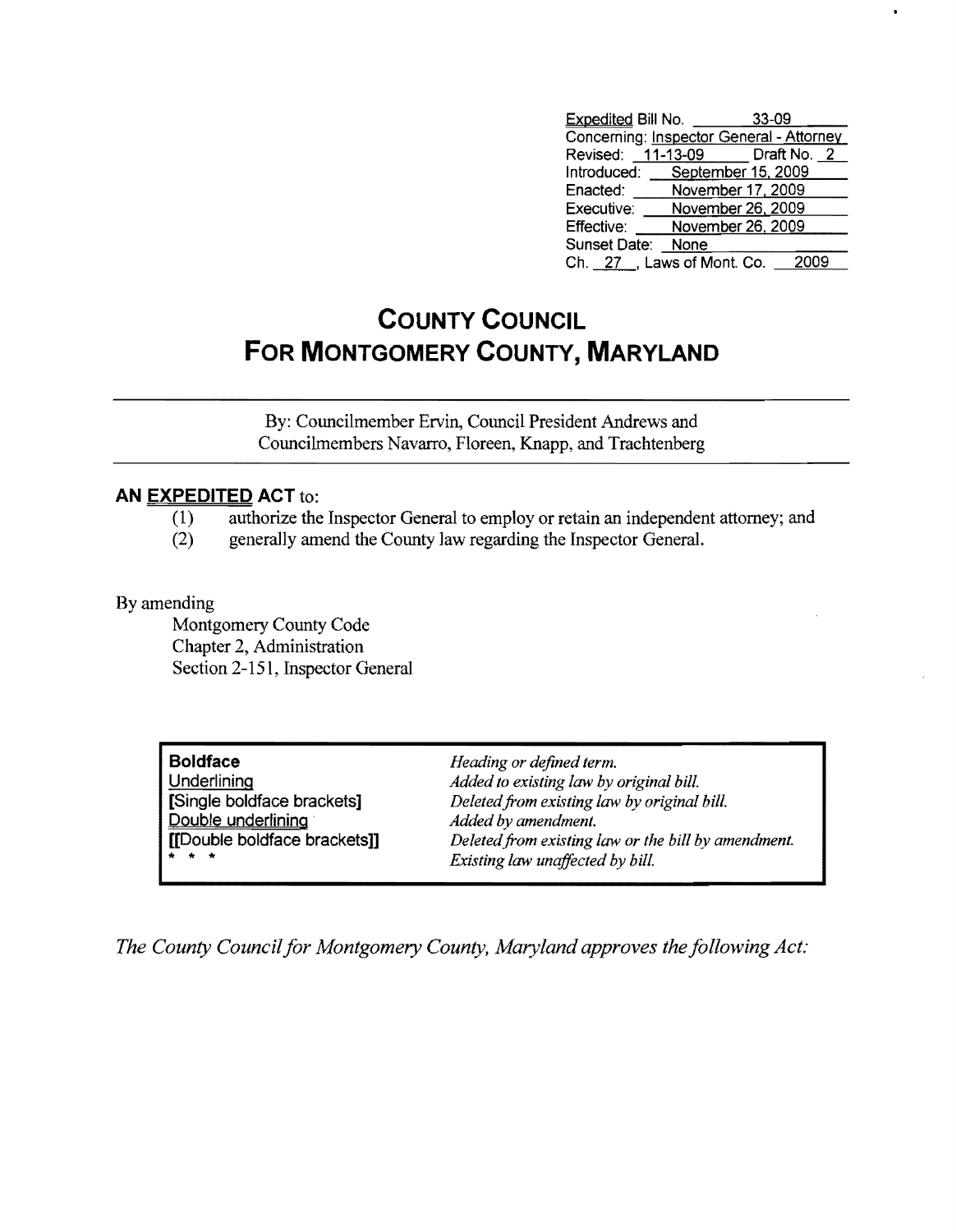| <b>Expedited Bill No.</b>      | 33-09             |                                          |
|--------------------------------|-------------------|------------------------------------------|
|                                |                   | Concerning: Inspector General - Attorney |
| Revised: 11-13-09 Draft No. 2  |                   |                                          |
| Introduced: September 15, 2009 |                   |                                          |
| Enacted:                       | November 17, 2009 |                                          |
| Executive:                     | November 26, 2009 |                                          |
| Effective:                     | November 26, 2009 |                                          |
| Sunset Date:                   | None              |                                          |
| Ch. 27 Laws of Mont. Co.       |                   | 2009                                     |

## **COUNTY COUNCIL FOR MONTGOMERY COUNTY, MARYLAND**

By: Councilmember Ervin, Council President Andrews and Councilmembers Navarro, Floreen, Knapp, and Trachtenberg

## **AN EXPEDITED ACT** to:

- (1) authorize the Inspector General to employ or retain an independent attorney; and
- (2) generally amend the County law regarding the Inspector General.

## By amending

Montgomery County Code Chapter 2, Administration Section 2-151, Inspector General

| <b>Boldface</b>              |  |  |
|------------------------------|--|--|
| Underlining                  |  |  |
| Single boldface brackets]    |  |  |
| Double underlining           |  |  |
| [[Double boldface brackets]] |  |  |
|                              |  |  |

**Boldface** *Heading or defined term.*  Added to existing law by original bill.  $Deleted from existing law by original bill.$ Added by amendment. Deleted from existing law or the bill by amendment.  $Existing$  law unaffected by bill.

*The County Council for Montgomery County, Maryland approves the following Act:*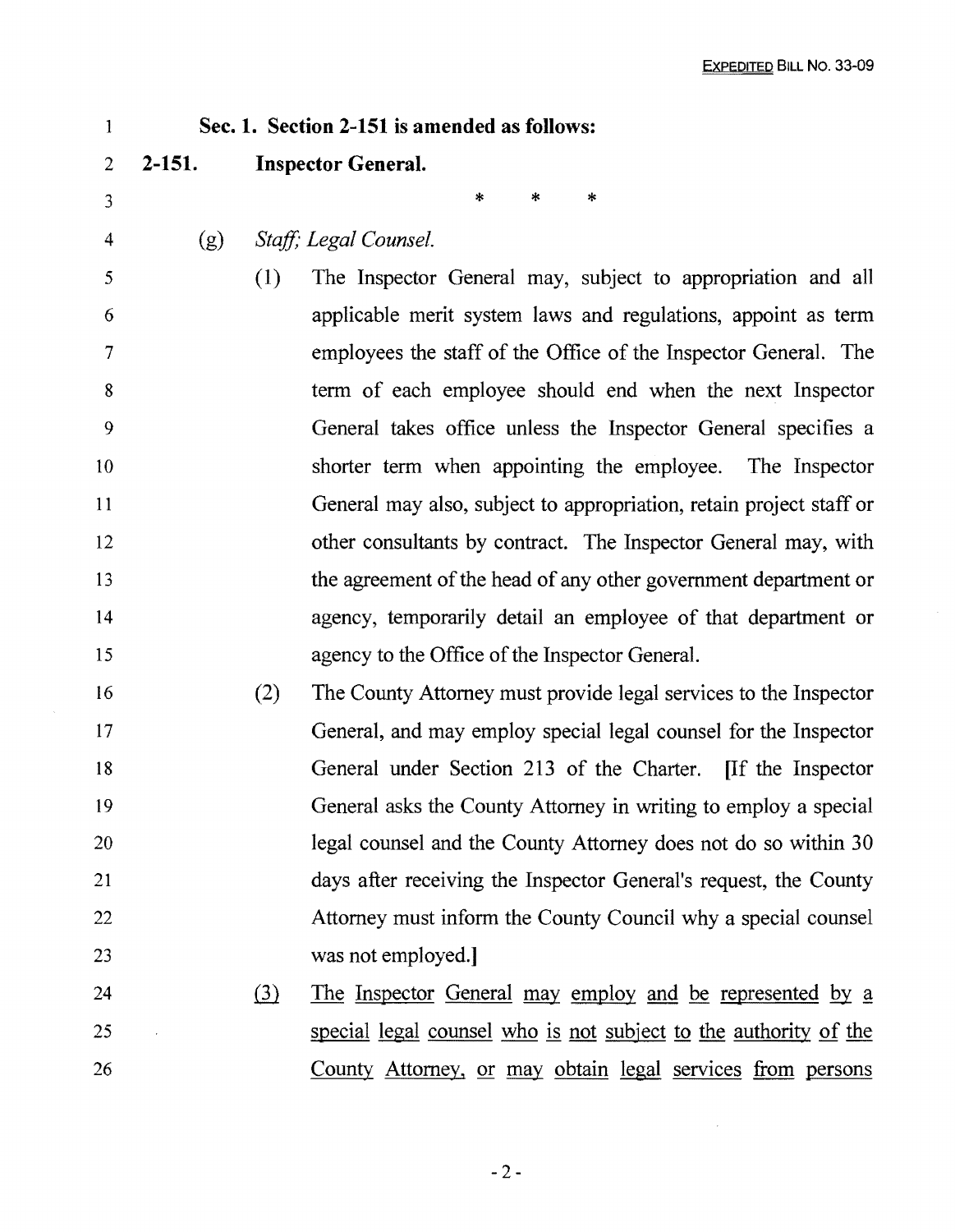| 1              | Sec. 1. Section 2-151 is amended as follows: |                              |                                                                     |  |  |
|----------------|----------------------------------------------|------------------------------|---------------------------------------------------------------------|--|--|
| $\overline{2}$ | $2 - 151.$                                   |                              | <b>Inspector General.</b>                                           |  |  |
| 3              |                                              |                              | *<br>*<br>*                                                         |  |  |
| 4              | (g)                                          |                              | Staff; Legal Counsel.                                               |  |  |
| 5              |                                              | (1)                          | The Inspector General may, subject to appropriation and all         |  |  |
| 6              |                                              |                              | applicable merit system laws and regulations, appoint as term       |  |  |
| 7              |                                              |                              | employees the staff of the Office of the Inspector General. The     |  |  |
| 8              |                                              |                              | term of each employee should end when the next Inspector            |  |  |
| 9              |                                              |                              | General takes office unless the Inspector General specifies a       |  |  |
| 10             |                                              |                              | shorter term when appointing the employee. The Inspector            |  |  |
| 11             |                                              |                              | General may also, subject to appropriation, retain project staff or |  |  |
| 12             |                                              |                              | other consultants by contract. The Inspector General may, with      |  |  |
| 13             |                                              |                              | the agreement of the head of any other government department or     |  |  |
| 14             |                                              |                              | agency, temporarily detail an employee of that department or        |  |  |
| 15             |                                              |                              | agency to the Office of the Inspector General.                      |  |  |
| 16             |                                              | (2)                          | The County Attorney must provide legal services to the Inspector    |  |  |
| 17             |                                              |                              | General, and may employ special legal counsel for the Inspector     |  |  |
| 18             |                                              |                              | General under Section 213 of the Charter. If the Inspector          |  |  |
| 19             |                                              |                              | General asks the County Attorney in writing to employ a special     |  |  |
| 20             |                                              |                              | legal counsel and the County Attorney does not do so within 30      |  |  |
| 21             |                                              |                              | days after receiving the Inspector General's request, the County    |  |  |
| 22             |                                              |                              | Attorney must inform the County Council why a special counsel       |  |  |
| 23             |                                              |                              | was not employed.]                                                  |  |  |
| 24             |                                              | $\left( \frac{3}{2} \right)$ | <u>The Inspector General may employ and be represented by a</u>     |  |  |
| 25             |                                              |                              | special legal counsel who is not subject to the authority of the    |  |  |
| 26             |                                              |                              | County Attorney, or may obtain legal services from persons          |  |  |

 $\sim 10^{-10}$